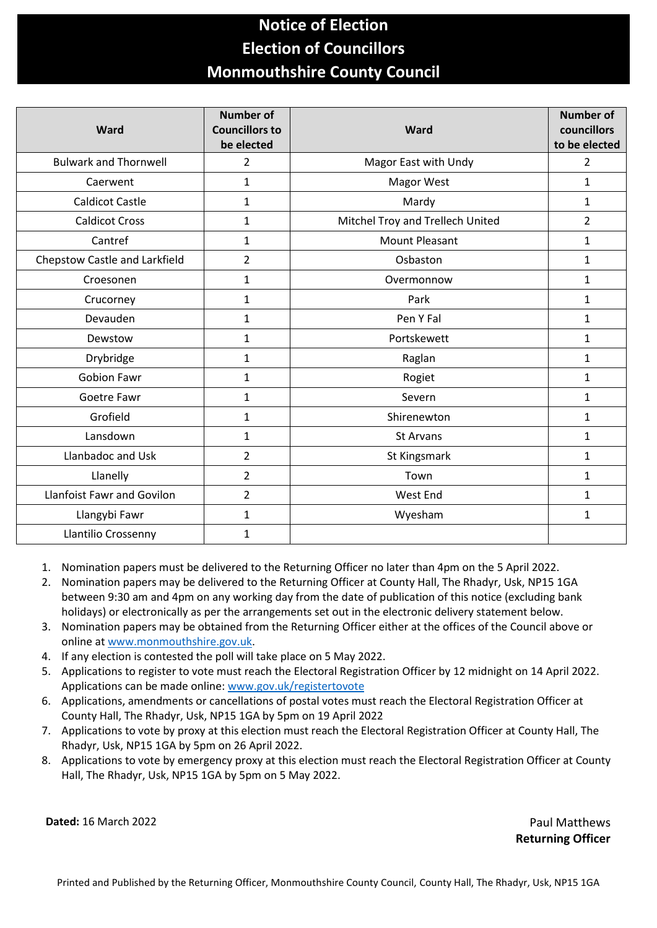## **Notice of Election Election of Councillors Monmouthshire County Council**

| Ward                              | <b>Number of</b><br><b>Councillors to</b><br>be elected | Ward                             | <b>Number of</b><br>councillors<br>to be elected |
|-----------------------------------|---------------------------------------------------------|----------------------------------|--------------------------------------------------|
| <b>Bulwark and Thornwell</b>      | $\overline{2}$                                          | Magor East with Undy             | $\overline{2}$                                   |
| Caerwent                          | $\mathbf 1$                                             | Magor West                       | $\mathbf{1}$                                     |
| <b>Caldicot Castle</b>            | $\mathbf{1}$                                            | Mardy                            | 1                                                |
| <b>Caldicot Cross</b>             | $\mathbf{1}$                                            | Mitchel Troy and Trellech United | $\overline{2}$                                   |
| Cantref                           | 1                                                       | <b>Mount Pleasant</b>            | 1                                                |
| Chepstow Castle and Larkfield     | $\overline{2}$                                          | Osbaston                         | 1                                                |
| Croesonen                         | $\mathbf{1}$                                            | Overmonnow                       | 1                                                |
| Crucorney                         | $\mathbf{1}$                                            | Park                             | 1                                                |
| Devauden                          | $\mathbf{1}$                                            | Pen Y Fal                        | 1                                                |
| Dewstow                           | 1                                                       | Portskewett                      | 1                                                |
| Drybridge                         | $\mathbf{1}$                                            | Raglan                           | $\mathbf{1}$                                     |
| <b>Gobion Fawr</b>                | $\mathbf{1}$                                            | Rogiet                           | $\mathbf{1}$                                     |
| Goetre Fawr                       | 1                                                       | Severn                           | $\mathbf{1}$                                     |
| Grofield                          | $\mathbf{1}$                                            | Shirenewton                      | 1                                                |
| Lansdown                          | $\mathbf{1}$                                            | <b>St Arvans</b>                 | 1                                                |
| Llanbadoc and Usk                 | $\overline{2}$                                          | St Kingsmark                     | 1                                                |
| Llanelly                          | $\overline{2}$                                          | Town                             | 1                                                |
| <b>Llanfoist Fawr and Govilon</b> | $\overline{2}$                                          | West End                         | 1                                                |
| Llangybi Fawr                     | $\mathbf{1}$                                            | Wyesham                          | $\mathbf{1}$                                     |
| Llantilio Crossenny               | $\mathbf{1}$                                            |                                  |                                                  |

1. Nomination papers must be delivered to the Returning Officer no later than 4pm on the 5 April 2022.

- 2. Nomination papers may be delivered to the Returning Officer at County Hall, The Rhadyr, Usk, NP15 1GA between 9:30 am and 4pm on any working day from the date of publication of this notice (excluding bank holidays) or electronically as per the arrangements set out in the electronic delivery statement below.
- 3. Nomination papers may be obtained from the Returning Officer either at the offices of the Council above or online a[t www.monmouthshire.gov.uk.](http://www.monmouthshire.gov.uk/)
- 4. If any election is contested the poll will take place on 5 May 2022.
- 5. Applications to register to vote must reach the Electoral Registration Officer by 12 midnight on 14 April 2022. Applications can be made online: [www.gov.uk/registertovote](http://www.gov.uk/registertovote)
- 6. Applications, amendments or cancellations of postal votes must reach the Electoral Registration Officer at County Hall, The Rhadyr, Usk, NP15 1GA by 5pm on 19 April 2022
- 7. Applications to vote by proxy at this election must reach the Electoral Registration Officer at County Hall, The Rhadyr, Usk, NP15 1GA by 5pm on 26 April 2022.
- 8. Applications to vote by emergency proxy at this election must reach the Electoral Registration Officer at County Hall, The Rhadyr, Usk, NP15 1GA by 5pm on 5 May 2022.

**Dated:** 16 March 2022 **Paul Matthews** Paul Matthews

**Returning Officer**